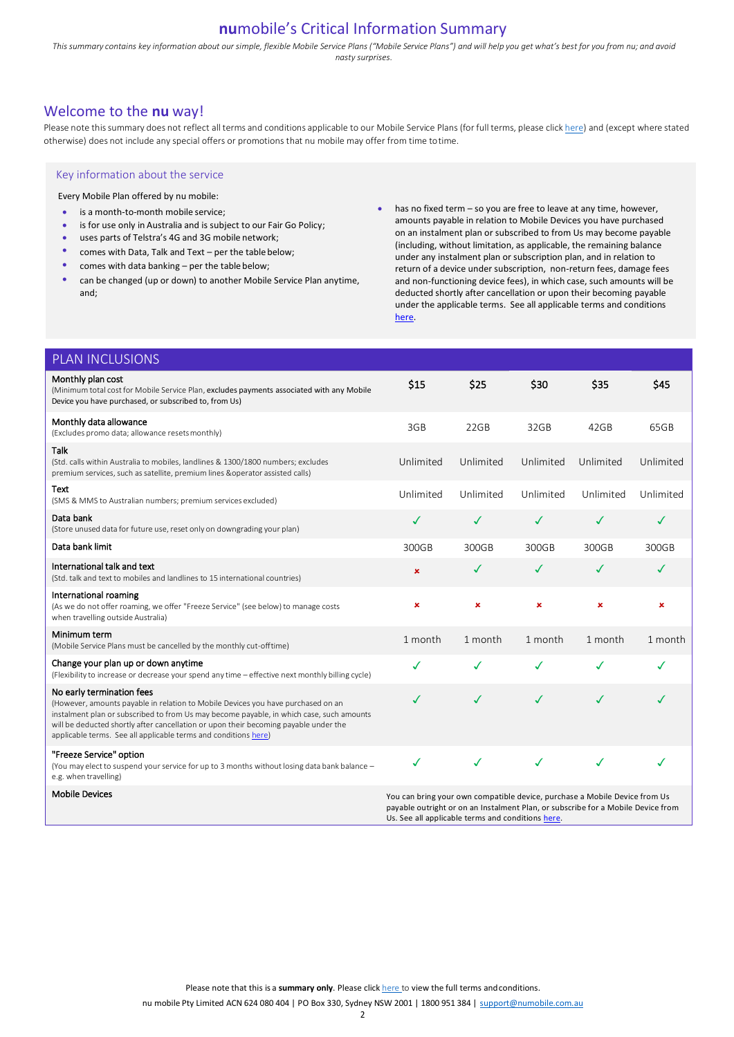# **nu**mobile's Critical Information Summary

This summary contains key information about our simple, flexible Mobile Service Plans ("Mobile Service Plans") and will help you get what's best for you from nu; and avoid *nasty surprises.* 

# Welcome to the **nu** way!

Please note this summary does not reflect all terms and conditions applicable to our Mobile Service Plans (for full terms, please click [here\)](https://www.numobile.com.au/legal-stuff) and (except where stated otherwise) does not include any special offers or promotions that nu mobile may offer from time totime.

## Key information about the service

Every Mobile Plan offered by nu mobile:

- is a month-to-month mobile service:
- is for use only in Australia and is subject to our Fair Go Policy;
- uses parts of Telstra's 4G and 3G mobile network;
- comes with Data, Talk and Text per the table below;
- comes with data banking  $-$  per the table below;
- can be changed (up or down) to another Mobile Service Plan anytime, and;

• has no fixed term – so you are free to leave at any time, however, amounts payable in relation to Mobile Devices you have purchased on an instalment plan or subscribed to from Us may become payable (including, without limitation, as applicable, the remaining balance under any instalment plan or subscription plan, and in relation to return of a device under subscription, non-return fees, damage fees and non-functioning device fees), in which case, such amounts will be deducted shortly after cancellation or upon their becoming payable under the applicable terms. See all applicable terms and conditions [here.](https://www.numobile.com.au/legal-stuff)

| <b>PLAN INCLUSIONS</b>                                                                                                                                                                                                                                                                                                                                               |                                                                                                                                                                |              |           |                |                |
|----------------------------------------------------------------------------------------------------------------------------------------------------------------------------------------------------------------------------------------------------------------------------------------------------------------------------------------------------------------------|----------------------------------------------------------------------------------------------------------------------------------------------------------------|--------------|-----------|----------------|----------------|
| Monthly plan cost<br>(Minimum total cost for Mobile Service Plan, excludes payments associated with any Mobile<br>Device you have purchased, or subscribed to, from Us)                                                                                                                                                                                              | \$15                                                                                                                                                           | \$25         | \$30      | \$35           | <b>S45</b>     |
| Monthly data allowance<br>(Excludes promo data; allowance resets monthly)                                                                                                                                                                                                                                                                                            | 3GB                                                                                                                                                            | 22GB         | 32GB      | 42GB           | 65GB           |
| <b>Talk</b><br>(Std. calls within Australia to mobiles, landlines & 1300/1800 numbers; excludes<br>premium services, such as satellite, premium lines & operator assisted calls)                                                                                                                                                                                     | Unlimited                                                                                                                                                      | Unlimited    | Unlimited | Unlimited      | Unlimited      |
| Text<br>(SMS & MMS to Australian numbers; premium services excluded)                                                                                                                                                                                                                                                                                                 | Unlimited                                                                                                                                                      | Unlimited    | Unlimited | Unlimited      | Unlimited      |
| Data bank<br>(Store unused data for future use, reset only on downgrading your plan)                                                                                                                                                                                                                                                                                 | ✓                                                                                                                                                              | ✓            | ✓         | $\checkmark$   | $\checkmark$   |
| Data bank limit                                                                                                                                                                                                                                                                                                                                                      | 300GB                                                                                                                                                          | 300GB        | 300GB     | 300GB          | 300GB          |
| International talk and text<br>(Std. talk and text to mobiles and landlines to 15 international countries)                                                                                                                                                                                                                                                           | $\pmb{\times}$                                                                                                                                                 | ✓            | ✓         | $\checkmark$   | ✓              |
| International roaming<br>(As we do not offer roaming, we offer "Freeze Service" (see below) to manage costs<br>when travelling outside Australia)                                                                                                                                                                                                                    | ×                                                                                                                                                              | ×            | ×         | $\pmb{\times}$ | $\pmb{\times}$ |
| Minimum term<br>(Mobile Service Plans must be cancelled by the monthly cut-offtime)                                                                                                                                                                                                                                                                                  | 1 month                                                                                                                                                        | 1 month      | 1 month   | 1 month        | 1 month        |
| Change your plan up or down anytime<br>(Flexibility to increase or decrease your spend any time - effective next monthly billing cycle)                                                                                                                                                                                                                              | ✓                                                                                                                                                              | ✓            | ✓         | ✓              | ✓              |
| No early termination fees<br>(However, amounts payable in relation to Mobile Devices you have purchased on an<br>instalment plan or subscribed to from Us may become payable, in which case, such amounts<br>will be deducted shortly after cancellation or upon their becoming payable under the<br>applicable terms. See all applicable terms and conditions here) | ✓                                                                                                                                                              | ✓            | ✓         | ✓              | J              |
| "Freeze Service" option<br>(You may elect to suspend your service for up to 3 months without losing data bank balance -<br>e.g. when travelling)                                                                                                                                                                                                                     | ✓                                                                                                                                                              | $\checkmark$ | ✓         | $\checkmark$   | ℐ              |
| <b>Mobile Devices</b>                                                                                                                                                                                                                                                                                                                                                | You can bring your own compatible device, purchase a Mobile Device from Us<br>payable outright or on an Instalment Plan, or subscribe for a Mobile Device from |              |           |                |                |

Please note that this is a summary only. Please click [here t](https://www.numobile.com.au/legal-stuff)o view the full terms and conditions.

Us. See all applicable terms and conditions here